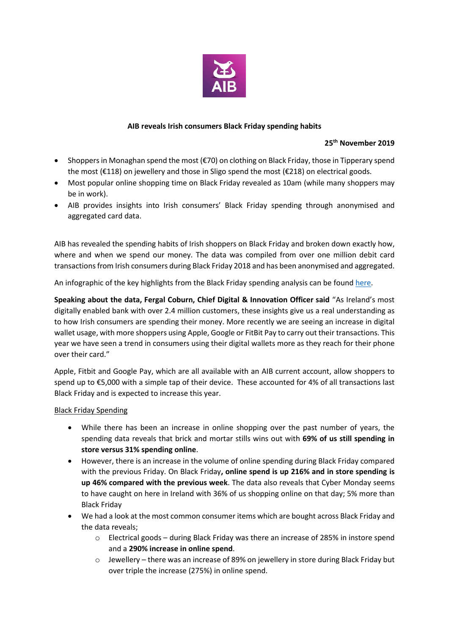

### **AIB reveals Irish consumers Black Friday spending habits**

#### **25th November 2019**

- Shoppers in Monaghan spend the most (€70) on clothing on Black Friday, those in Tipperary spend the most (€118) on jewellery and those in Sligo spend the most (€218) on electrical goods.
- Most popular online shopping time on Black Friday revealed as 10am (while many shoppers may be in work).
- AIB provides insights into Irish consumers' Black Friday spending through anonymised and aggregated card data.

AIB has revealed the spending habits of Irish shoppers on Black Friday and broken down exactly how, where and when we spend our money. The data was compiled from over one million debit card transactions from Irish consumers during Black Friday 2018 and has been anonymised and aggregated.

An infographic of the key highlights from the Black Friday spending analysis can be foun[d here.](https://group.aib.ie/content/dam/aib/group/Docs/Press%20Releases/2019/aib-black-friday-spending-info.pdf)

**Speaking about the data, Fergal Coburn, Chief Digital & Innovation Officer said** "As Ireland's most digitally enabled bank with over 2.4 million customers, these insights give us a real understanding as to how Irish consumers are spending their money. More recently we are seeing an increase in digital wallet usage, with more shoppers using Apple, Google or FitBit Pay to carry out their transactions. This year we have seen a trend in consumers using their digital wallets more as they reach for their phone over their card."

Apple, Fitbit and Google Pay, which are all available with an AIB current account, allow shoppers to spend up to €5,000 with a simple tap of their device. These accounted for 4% of all transactions last Black Friday and is expected to increase this year.

### Black Friday Spending

- While there has been an increase in online shopping over the past number of years, the spending data reveals that brick and mortar stills wins out with **69% of us still spending in store versus 31% spending online**.
- However, there is an increase in the volume of online spending during Black Friday compared with the previous Friday. On Black Friday**, online spend is up 216% and in store spending is up 46% compared with the previous week**. The data also reveals that Cyber Monday seems to have caught on here in Ireland with 36% of us shopping online on that day; 5% more than Black Friday
- We had a look at the most common consumer items which are bought across Black Friday and the data reveals;
	- o Electrical goods during Black Friday was there an increase of 285% in instore spend and a **290% increase in online spend**.
	- o Jewellery there was an increase of 89% on jewellery in store during Black Friday but over triple the increase (275%) in online spend.